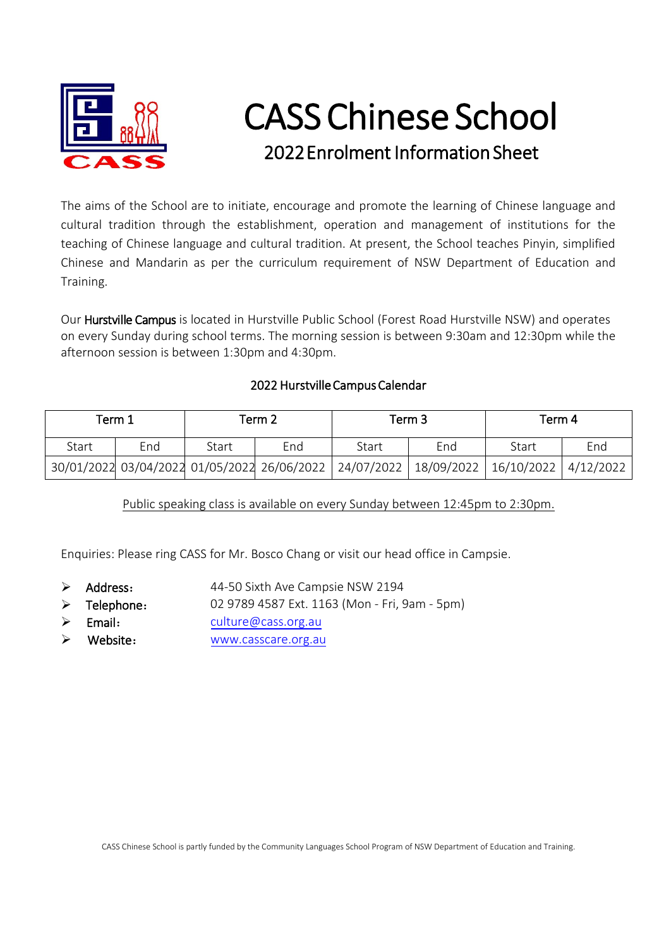

## CASS Chinese School 2022Enrolment Information Sheet

The aims of the School are to initiate, encourage and promote the learning of Chinese language and cultural tradition through the establishment, operation and management of institutions for the teaching of Chinese language and cultural tradition. At present, the School teaches Pinyin, simplified Chinese and Mandarin as per the curriculum requirement of NSW Department of Education and Training.

Our Hurstville Campus is located in Hurstville Public School (Forest Road Hurstville NSW) and operates on every Sunday during school terms. The morning session is between 9:30am and 12:30pm while the afternoon session is between 1:30pm and 4:30pm.

## 2022 Hurstville Campus Calendar

| Term 1 |     | Term 2 |     | Term 3                                                 |                                     | Term 4 |     |
|--------|-----|--------|-----|--------------------------------------------------------|-------------------------------------|--------|-----|
| Start  | End | Start  | End | Start                                                  | End                                 | Start  | End |
|        |     |        |     | 30/01/2022 03/04/2022 01/05/2022 26/06/2022 24/07/2022 | 18/09/2022   16/10/2022   4/12/2022 |        |     |

Public speaking class is available on every Sunday between 12:45pm to 2:30pm.

Enquiries: Please ring CASS for Mr. Bosco Chang or visit our head office in Campsie.

- $\triangleright$  Address: 44-50 Sixth Ave Campsie NSW 2194
- $\triangleright$  Telephone: 02 9789 4587 Ext. 1163 (Mon - Fri, 9am - 5pm)
- $\triangleright$  Email: [culture@cass.org.au](mailto:culture@cass.org.au)
- Website: [www.casscare.org.au](http://www.casscare.org.au/)